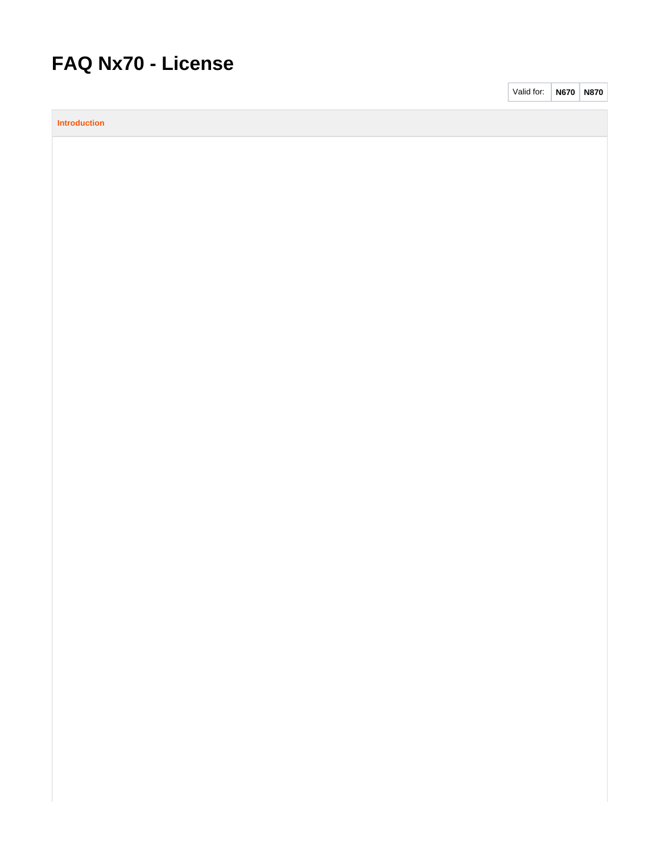# **FAQ Nx70 - License**

**Introduction**

Valid for: **N670 N870**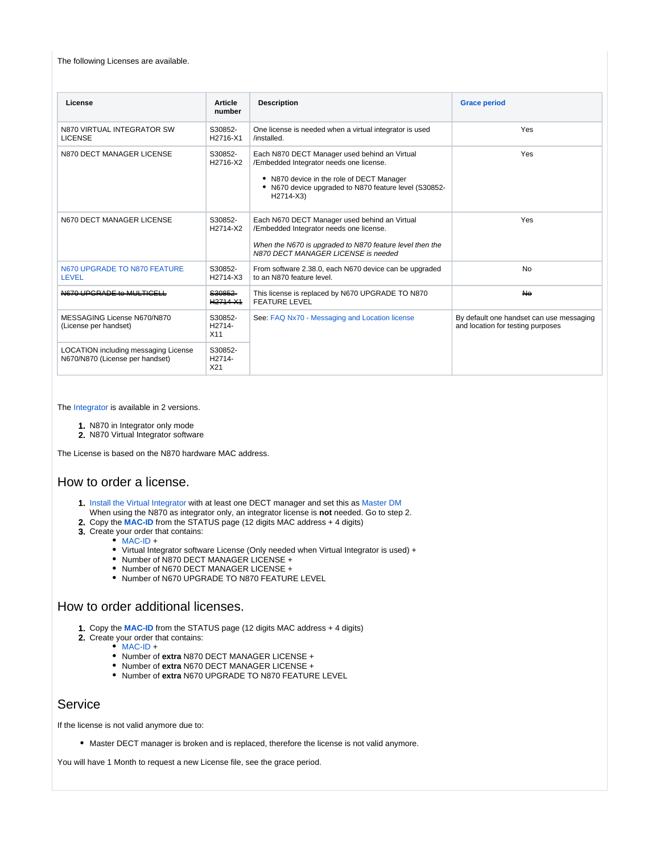#### The following Licenses are available.

| License                                                                 | <b>Article</b>                             | <b>Description</b>                                                                                                                                                                                          | <b>Grace period</b>                                                           |  |
|-------------------------------------------------------------------------|--------------------------------------------|-------------------------------------------------------------------------------------------------------------------------------------------------------------------------------------------------------------|-------------------------------------------------------------------------------|--|
|                                                                         | number                                     |                                                                                                                                                                                                             |                                                                               |  |
| N870 VIRTUAL INTEGRATOR SW<br><b>LICENSE</b>                            | S30852-<br>H2716-X1                        | One license is needed when a virtual integrator is used<br>/installed.                                                                                                                                      | Yes                                                                           |  |
| N870 DECT MANAGER LICENSE                                               | S30852-<br>H2716-X2                        | Each N870 DECT Manager used behind an Virtual<br>/Embedded Integrator needs one license.<br>• N870 device in the role of DECT Manager<br>• N670 device upgraded to N870 feature level (S30852-<br>H2714-X3) | Yes                                                                           |  |
| N670 DECT MANAGER LICENSE                                               | S30852-<br>H2714-X2                        | Each N670 DECT Manager used behind an Virtual<br>/Embedded Integrator needs one license.<br>When the N670 is upgraded to N870 feature level then the<br>N870 DECT MANAGER LICENSE is needed                 | Yes                                                                           |  |
| N670 UPGRADE TO N870 FEATURE<br><b>LEVEL</b>                            | S30852-<br>H2714-X3                        | From software 2.38.0, each N670 device can be upgraded<br>to an N870 feature level                                                                                                                          | <b>No</b>                                                                     |  |
| N670 UPGRADE to MULTICELL                                               | S30852<br>H <sub>2714</sub> X <sub>1</sub> | This license is replaced by N670 UPGRADE TO N870<br><b>FEATURE LEVEL</b>                                                                                                                                    | <b>No</b>                                                                     |  |
| MESSAGING License N670/N870<br>(License per handset)                    | S30852-<br>H2714-<br>X11                   | See: FAQ Nx70 - Messaging and Location license                                                                                                                                                              | By default one handset can use messaging<br>and location for testing purposes |  |
| LOCATION including messaging License<br>N670/N870 (License per handset) | S30852-<br>H2714-<br>X21                   |                                                                                                                                                                                                             |                                                                               |  |

The [Integrator](https://teamwork.gigaset.com/gigawiki/display/GPPPO/FAQ+Nx70+-+Integrator) is available in 2 versions.

- 1. N870 in Integrator only mode
- 2. N870 Virtual Integrator software

The License is based on the N870 hardware MAC address.

## How to order a license.

- 1. [Install the Virtual Integrator](https://teamwork.gigaset.com/gigawiki/display/GPPPO/FAQ+Nx70+-+Integrator) with at least one DECT manager and set this as [Master DM](https://teamwork.gigaset.com/gigawiki/display/GPPPO/FAQ+Nx70+-+License%3A+Master+DECT+manager) When using the N870 as integrator only, an integrator license is **not** needed. Go to step 2.
- 2. Copy the **[MAC-ID](https://teamwork.gigaset.com/gigawiki/display/GPPPO/FAQ+Nx70+-+MAC-ID)** from the STATUS page (12 digits MAC address + 4 digits)
- 3. Create your order that contains:
	- [MAC-ID](https://teamwork.gigaset.com/gigawiki/display/GPPPO/FAQ+Nx70+-+MAC-ID) +
		- Virtual Integrator software License (Only needed when Virtual Integrator is used) +
		- Number of N870 DECT MANAGER LICENSE +
		- Number of N670 DECT MANAGER LICENSE +
		- Number of N670 UPGRADE TO N870 FEATURE LEVEL

#### How to order additional licenses.

- 1. Copy the **[MAC-ID](https://teamwork.gigaset.com/gigawiki/display/GPPPO/FAQ+Nx70+-+MAC-ID)** from the STATUS page (12 digits MAC address + 4 digits)
- 2. Create your order that contains:
	- $\bullet$  [MAC-ID](https://teamwork.gigaset.com/gigawiki/display/GPPPO/FAQ+Nx70+-+MAC-ID) +
		- Number of **extra** N870 DECT MANAGER LICENSE +
		- Number of **extra** N670 DECT MANAGER LICENSE +
		- Number of **extra** N670 UPGRADE TO N870 FEATURE LEVEL

## Service

If the license is not valid anymore due to:

Master DECT manager is broken and is replaced, therefore the license is not valid anymore.

You will have 1 Month to request a new License file, see the grace period.